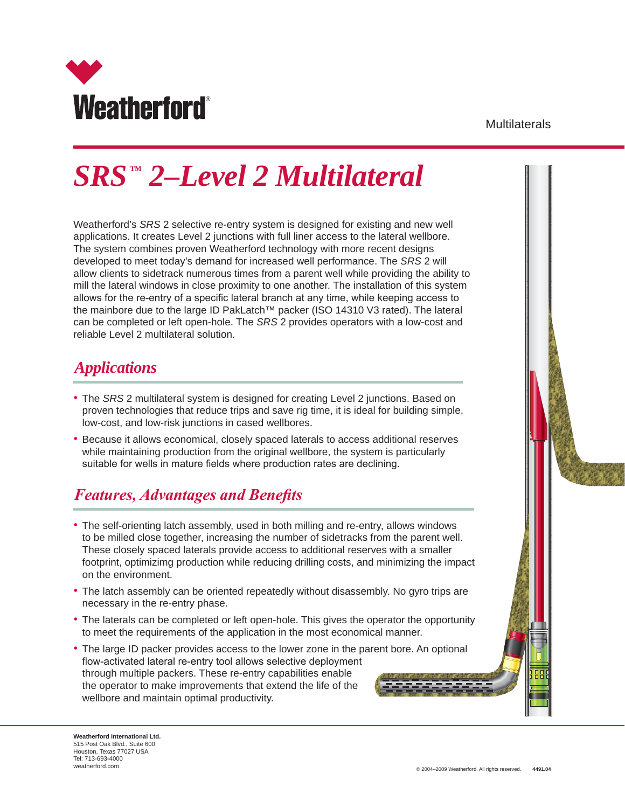

Multilaterals

# *SRS ™ 2–Level 2 Multilateral*

Weatherford's *SRS* 2 selective re-entry system is designed for existing and new well applications. It creates Level 2 junctions with full liner access to the lateral wellbore. The system combines proven Weatherford technology with more recent designs developed to meet today's demand for increased well performance. The *SRS* 2 will allow clients to sidetrack numerous times from a parent well while providing the ability to mill the lateral windows in close proximity to one another. The installation of this system allows for the re-entry of a specific lateral branch at any time, while keeping access to the mainbore due to the large ID PakLatch™ packer (ISO 14310 V3 rated). The lateral can be completed or left open-hole. The *SRS* 2 provides operators with a low-cost and reliable Level 2 multilateral solution.

#### *Applications*

- The *SRS* 2 multilateral system is designed for creating Level 2 junctions. Based on proven technologies that reduce trips and save rig time, it is ideal for building simple, low-cost, and low-risk junctions in cased wellbores.
- Because it allows economical, closely spaced laterals to access additional reserves while maintaining production from the original wellbore, the system is particularly suitable for wells in mature fields where production rates are declining.

### *Features, Advantages and Benefits*

- The self-orienting latch assembly, used in both milling and re-entry, allows windows to be milled close together, increasing the number of sidetracks from the parent well. These closely spaced laterals provide access to additional reserves with a smaller footprint, optimizimg production while reducing drilling costs, and minimizing the impact on the environment.
- The latch assembly can be oriented repeatedly without disassembly. No gyro trips are necessary in the re-entry phase.
- The laterals can be completed or left open-hole. This gives the operator the opportunity to meet the requirements of the application in the most economical manner.
- The large ID packer provides access to the lower zone in the parent bore. An optional flow-activated lateral re-entry tool allows selective deployment through multiple packers. These re-entry capabilities enable the operator to make improvements that extend the life of the wellbore and maintain optimal productivity.